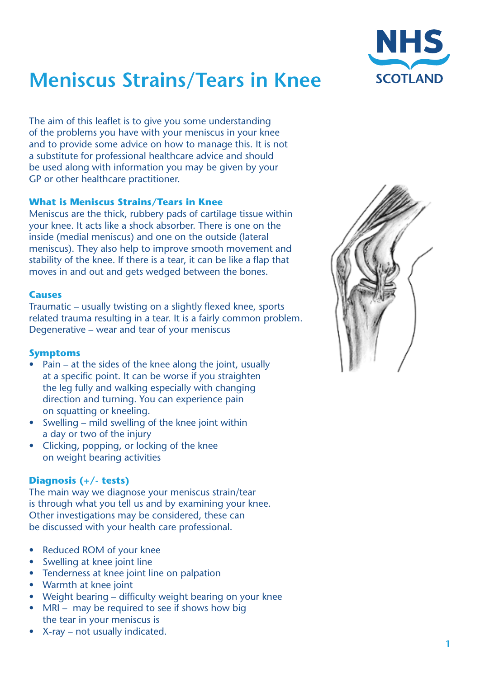

# **Meniscus Strains/Tears in Knee**

The aim of this leaflet is to give you some understanding of the problems you have with your meniscus in your knee and to provide some advice on how to manage this. It is not a substitute for professional healthcare advice and should be used along with information you may be given by your GP or other healthcare practitioner.

# **What is Meniscus Strains/Tears in Knee**

Meniscus are the thick, rubbery pads of cartilage tissue within your knee. It acts like a shock absorber. There is one on the inside (medial meniscus) and one on the outside (lateral meniscus). They also help to improve smooth movement and stability of the knee. If there is a tear, it can be like a flap that moves in and out and gets wedged between the bones.

# **Causes**

Traumatic – usually twisting on a slightly flexed knee, sports related trauma resulting in a tear. It is a fairly common problem. Degenerative – wear and tear of your meniscus

# **Symptoms**

- Pain at the sides of the knee along the joint, usually at a specific point. It can be worse if you straighten the leg fully and walking especially with changing direction and turning. You can experience pain on squatting or kneeling.
- Swelling mild swelling of the knee joint within a day or two of the injury
- Clicking, popping, or locking of the knee on weight bearing activities

# **Diagnosis (+/- tests)**

The main way we diagnose your meniscus strain/tear is through what you tell us and by examining your knee. Other investigations may be considered, these can be discussed with your health care professional.

- **Reduced ROM of your knee**
- Swelling at knee joint line
- Tenderness at knee joint line on palpation
- Warmth at knee joint
- Weight bearing difficulty weight bearing on your knee
- $MRI may$  be required to see if shows how big the tear in your meniscus is
- $X-ray not usually indicated.$

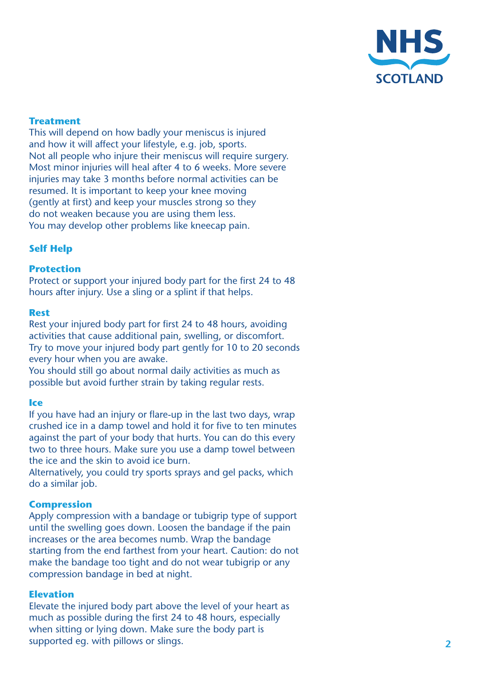

# **Treatment**

This will depend on how badly your meniscus is injured and how it will affect your lifestyle, e.g. job, sports. Not all people who injure their meniscus will require surgery. Most minor injuries will heal after 4 to 6 weeks. More severe injuries may take 3 months before normal activities can be resumed. It is important to keep your knee moving (gently at first) and keep your muscles strong so they do not weaken because you are using them less. You may develop other problems like kneecap pain.

## **Self Help**

#### **Protection**

Protect or support your injured body part for the first 24 to 48 hours after injury. Use a sling or a splint if that helps.

#### **Rest**

Rest your injured body part for first 24 to 48 hours, avoiding activities that cause additional pain, swelling, or discomfort. Try to move your injured body part gently for 10 to 20 seconds every hour when you are awake.

You should still go about normal daily activities as much as possible but avoid further strain by taking regular rests.

#### **Ice**

If you have had an injury or flare-up in the last two days, wrap crushed ice in a damp towel and hold it for five to ten minutes against the part of your body that hurts. You can do this every two to three hours. Make sure you use a damp towel between the ice and the skin to avoid ice burn.

Alternatively, you could try sports sprays and gel packs, which do a similar job.

#### **Compression**

Apply compression with a bandage or tubigrip type of support until the swelling goes down. Loosen the bandage if the pain increases or the area becomes numb. Wrap the bandage starting from the end farthest from your heart. Caution: do not make the bandage too tight and do not wear tubigrip or any compression bandage in bed at night.

#### **Elevation**

Elevate the injured body part above the level of your heart as much as possible during the first 24 to 48 hours, especially when sitting or lying down. Make sure the body part is supported eg. with pillows or slings.